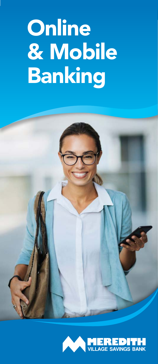# **Online** & Mobile Banking



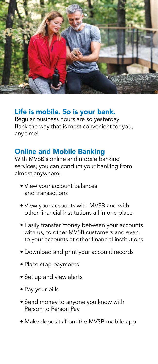

# Life is mobile. So is your bank.

Regular business hours are so yesterday. Bank the way that is most convenient for you, any time!

## Online and Mobile Banking

With MVSB's online and mobile banking services, you can conduct your banking from almost anywhere!

- View your account balances and transactions
- View your accounts with MVSB and with other financial institutions all in one place
- Easily transfer money between your accounts with us, to other MVSB customers and even to your accounts at other financial institutions
- Download and print your account records
- Place stop payments
- Set up and view alerts
- Pay your bills
- Send money to anyone you know with Person to Person Pay
- Make deposits from the MVSB mobile app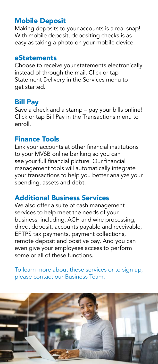### Mobile Deposit

Making deposits to your accounts is a real snap! With mobile deposit, depositing checks is as easy as taking a photo on your mobile device.

#### eStatements

Choose to receive your statements electronically instead of through the mail. Click or tap Statement Delivery in the Services menu to get started.

#### Bill Pay

Save a check and a stamp – pay your bills online! Click or tap Bill Pay in the Transactions menu to enroll.

#### Finance Tools

Link your accounts at other financial institutions to your MVSB online banking so you can see your full financial picture. Our financial management tools will automatically integrate your transactions to help you better analyze your spending, assets and debt.

#### Additional Business Services

We also offer a suite of cash management services to help meet the needs of your business, including: ACH and wire processing, direct deposit, accounts payable and receivable, EFTPS tax payments, payment collections, remote deposit and positive pay. And you can even give your employees access to perform some or all of these functions.

To learn more about these services or to sign up, please contact our Business Team.

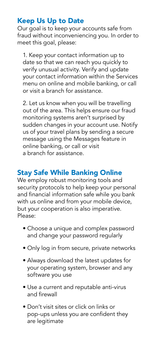# Keep Us Up to Date

Our goal is to keep your accounts safe from fraud without inconveniencing you. In order to meet this goal, please:

1. Keep your contact information up to date so that we can reach you quickly to verify unusual activity. Verify and update your contact information within the Services menu on online and mobile banking, or call or visit a branch for assistance.

 2. Let us know when you will be travelling out of the area. This helps ensure our fraud monitoring systems aren't surprised by sudden changes in your account use. Notify us of your travel plans by sending a secure message using the Messages feature in online banking, or call or visit a branch for assistance.

# Stay Safe While Banking Online

We employ robust monitoring tools and security protocols to help keep your personal and financial information safe while you bank with us online and from your mobile device, but your cooperation is also imperative. Please:

- Choose a unique and complex password and change your password regularly
- Only log in from secure, private networks
- Always download the latest updates for your operating system, browser and any software you use
- Use a current and reputable anti-virus and firewall
- Don't visit sites or click on links or pop-ups unless you are confident they are legitimate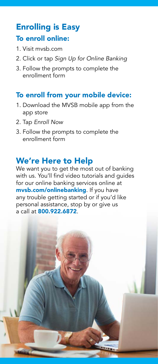# Enrolling is Easy To enroll online:

- 1. Visit mvsb.com
- 2. Click or tap *Sign Up for Online Banking*
- 3. Follow the prompts to complete the enrollment form

# To enroll from your mobile device:

- 1. Download the MVSB mobile app from the app store
- 2. Tap *Enroll Now*
- 3. Follow the prompts to complete the enrollment form

# We're Here to Help

We want you to get the most out of banking with us. You'll find video tutorials and guides for our online banking services online at mvsb.com/onlinebanking. If you have any trouble getting started or if you'd like personal assistance, stop by or give us a call at 800.922.6872.